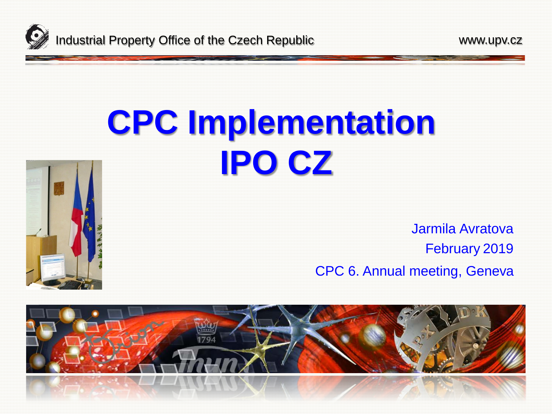

# **CPC Implementation IPO CZ**



Jarmila Avratova February 2019 CPC 6. Annual meeting, Geneva

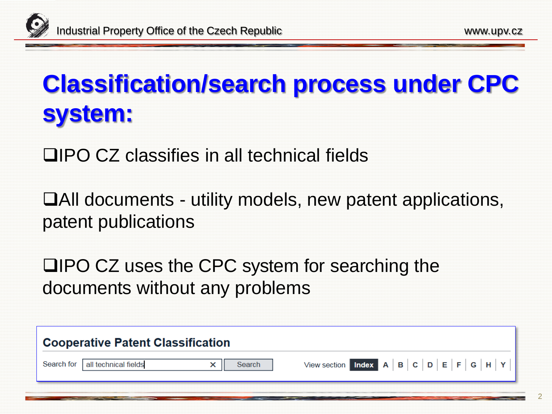# **Classification/search process under CPC system:**

**□IPO CZ classifies in all technical fields** 

All documents - utility models, new patent applications, patent publications

**QIPO CZ uses the CPC system for searching the** documents without any problems

| <b>Cooperative Patent Classification</b> |                                 |  |        |  |  |  |  |  |  |  |  |
|------------------------------------------|---------------------------------|--|--------|--|--|--|--|--|--|--|--|
|                                          | Search for all technical fields |  | Search |  |  |  |  |  |  |  |  |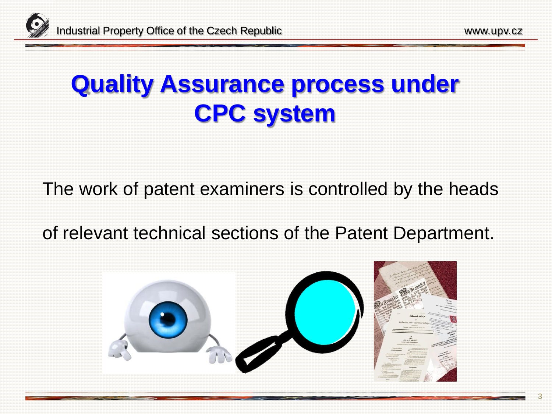### **Quality Assurance process under CPC system**

The work of patent examiners is controlled by the heads

of relevant technical sections of the Patent Department.

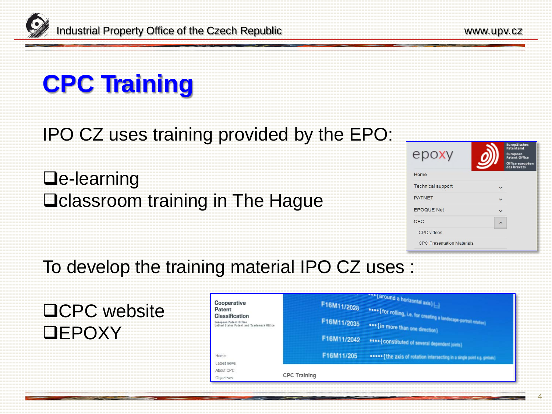# **CPC Training**

#### IPO CZ uses training provided by the EPO:

 $\Box$ e-learning D classroom training in The Hague

| epoxy                             | Europäisches<br>Patentamt<br><b>European</b><br><b>Patent Office</b><br>Office europée<br>des brevets |
|-----------------------------------|-------------------------------------------------------------------------------------------------------|
| Home                              |                                                                                                       |
| <b>Technical support</b>          |                                                                                                       |
| <b>PATNET</b>                     |                                                                                                       |
| <b>EPOQUE Net</b>                 |                                                                                                       |
| CPC                               |                                                                                                       |
| <b>CPC</b> videos                 |                                                                                                       |
| <b>CPC Presentation Materials</b> |                                                                                                       |

#### To develop the training material IPO CZ uses :

**□CPC** website **DEPOXY** 

| Cooperative<br>Patent<br>Classification<br>European Patent Office<br>United States Patent and Trademark Office |                     | F16M11/2028<br>F16M11/2035<br>F16M11/2042 | *** { around a horizontal axis } ( )<br>esee [ for rolling, i.e. for creating a landscape partial roation]<br>see {in more than one direction}<br>esse { constituted of several dependent joints) |
|----------------------------------------------------------------------------------------------------------------|---------------------|-------------------------------------------|---------------------------------------------------------------------------------------------------------------------------------------------------------------------------------------------------|
| Home                                                                                                           |                     | F16M11/205                                | osoos {the axis of rotation intersecting in a single point u.g. gimbes}                                                                                                                           |
| Latest news                                                                                                    |                     |                                           |                                                                                                                                                                                                   |
| About CPC                                                                                                      |                     |                                           |                                                                                                                                                                                                   |
| Objectives                                                                                                     | <b>CPC Training</b> |                                           |                                                                                                                                                                                                   |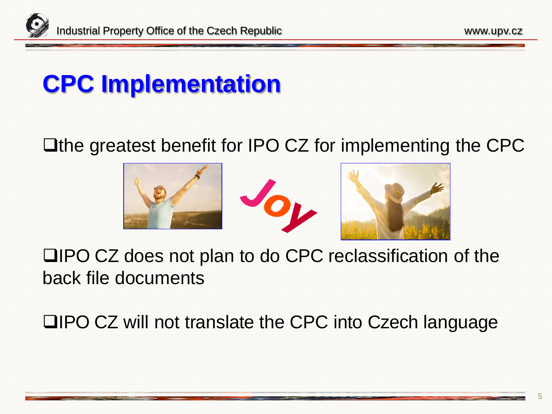

### **CPC Implementation**

#### **The greatest benefit for IPO CZ for implementing the CPC**



IPO CZ does not plan to do CPC reclassification of the back file documents

**QIPO CZ will not translate the CPC into Czech language**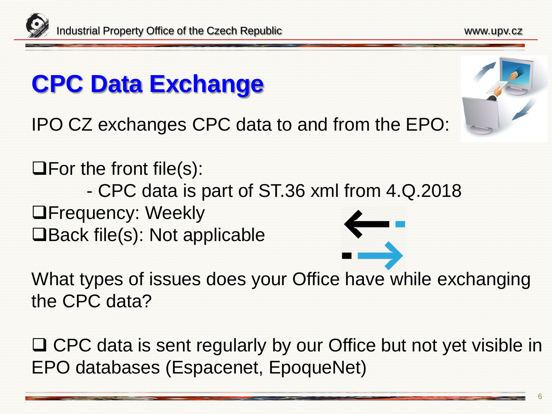## **CPC Data Exchange**

IPO CZ exchanges CPC data to and from the EPO:

 $\Box$  For the front file(s): - CPC data is part of ST.36 xml from 4.Q.2018 **OFrequency: Weekly □Back file(s): Not applicable** 

What types of issues does your Office [have](https://www.google.cz/url?sa=i&rct=j&q=&esrc=s&source=images&cd=&cad=rja&uact=8&ved=2ahUKEwjSyL6Uwb3gAhXQZFAKHf8YBtMQjRx6BAgBEAU&url=https://www.iconfinder.com/icons/890607/communication_data_data_exchange_exchange_information_internet_transfer_icon&psig=AOvVaw2B_ACAZwLJbHsV07A3sXJk&ust=1550312100996172) while exchanging the CPC data?

□ CPC data is sent regularly by our Office but not yet visible in EPO databases (Espacenet, EpoqueNet)